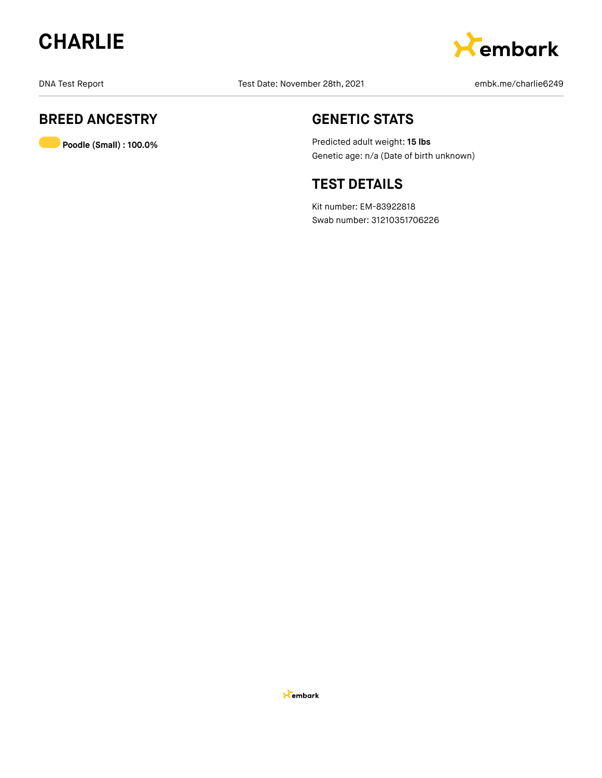



DNA Test Report Test Date: November 28th, 2021 and Test Report embk.me/charlie6249

## **BREED ANCESTRY**

**Poodle (Small) : 100.0%**

## **GENETIC STATS**

Predicted adult weight: **15 lbs** Genetic age: n/a (Date of birth unknown)

## **TEST DETAILS**

Kit number: EM-83922818 Swab number: 31210351706226

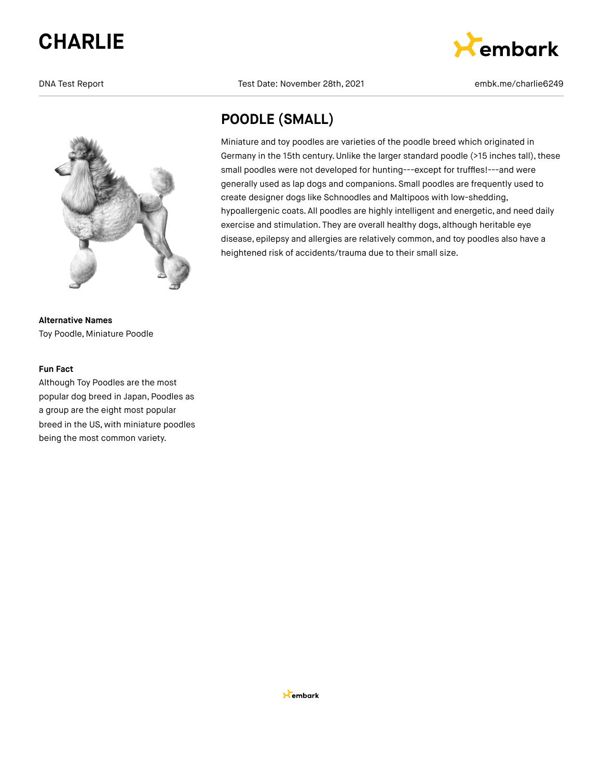

**Alternative Names** Toy Poodle, Miniature Poodle

#### **Fun Fact**

Although Toy Poodles are the most popular dog breed in Japan, Poodles as a group are the eight most popular breed in the US, with miniature poodles being the most common variety.

DNA Test Report Test Date: November 28th, 2021 embk.me/charlie6249

Miniature and toy poodles are varieties of the poodle breed which originated in

create designer dogs like Schnoodles and Maltipoos with low-shedding,

heightened risk of accidents/trauma due to their small size.

Germany in the 15th century.Unlike the larger standard poodle (>15 inches tall), these small poodles were not developed for hunting---except for truffles!---and were generally used as lap dogs and companions. Small poodles are frequently used to

hypoallergenic coats. All poodles are highly intelligent and energetic, and need daily exercise and stimulation. They are overall healthy dogs, although heritable eye disease, epilepsy and allergies are relatively common, and toy poodles also have a

**POODLE (SMALL)**

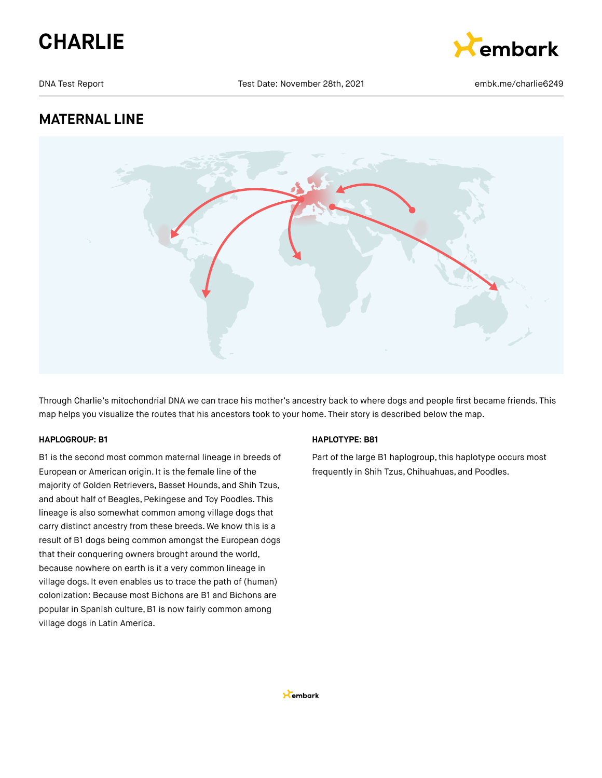



DNA Test Report Test Date: November 28th, 2021 embk.me/charlie6249

## **MATERNAL LINE**



Through Charlie's mitochondrial DNA we can trace his mother's ancestry back to where dogs and people first became friends. This map helps you visualize the routes that his ancestors took to your home. Their story is described below the map.

#### **HAPLOGROUP: B1**

B1 is the second most common maternal lineage in breeds of European or American origin. It is the female line of the majority of Golden Retrievers, Basset Hounds, and Shih Tzus, and about half of Beagles, Pekingese and Toy Poodles. This lineage is also somewhat common among village dogs that carry distinct ancestry from these breeds. We know this is a result of B1 dogs being common amongst the European dogs that their conquering owners brought around the world, because nowhere on earth is it a very common lineage in village dogs. It even enables us to trace the path of (human) colonization: Because most Bichons are B1 and Bichons are popular in Spanish culture, B1 is now fairly common among village dogs in Latin America.

#### **HAPLOTYPE: B81**

Part of the large B1 haplogroup, this haplotype occurs most frequently in Shih Tzus, Chihuahuas, and Poodles.

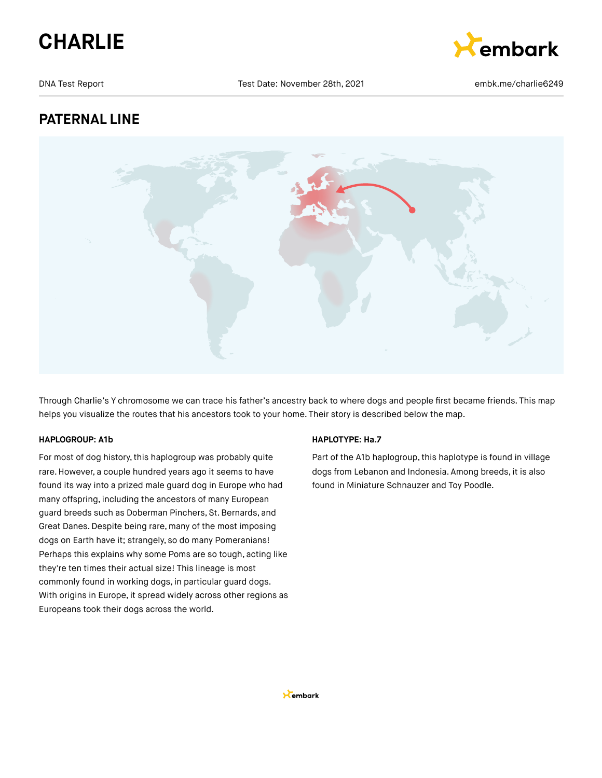



DNA Test Report Test Date: November 28th, 2021 embk.me/charlie6249

## **PATERNAL LINE**



Through Charlie's Y chromosome we can trace his father's ancestry back to where dogs and people first became friends. This map helps you visualize the routes that his ancestors took to your home. Their story is described below the map.

#### **HAPLOGROUP: A1b**

For most of dog history, this haplogroup was probably quite rare. However, a couple hundred years ago it seems to have found its way into a prized male guard dog in Europe who had many offspring, including the ancestors of many European guard breeds such as Doberman Pinchers, St.Bernards, and Great Danes.Despite being rare, many of the most imposing dogs on Earth have it; strangely, so do many Pomeranians! Perhaps this explains why some Poms are so tough, acting like they're ten times their actual size! This lineage is most commonly found in working dogs, in particular guard dogs. With origins in Europe, it spread widely across other regions as Europeans took their dogs across the world.

#### **HAPLOTYPE: Ha.7**

Part of the A1b haplogroup, this haplotype is found in village dogs from Lebanon and Indonesia. Among breeds, it is also found in Miniature Schnauzer and Toy Poodle.

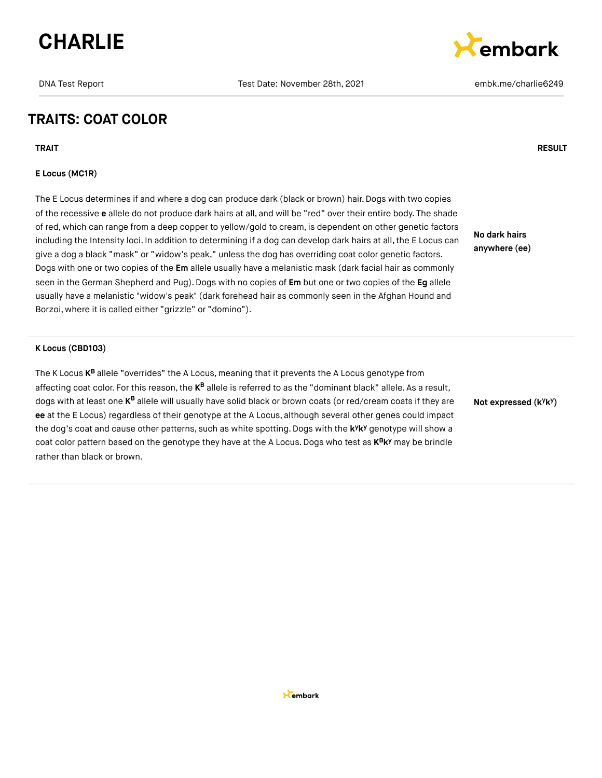



## **TRAITS: COAT COLOR**

**TRAIT RESULT**

#### **E Locus (MC1R)**

The E Locus determines if and where a dog can produce dark (black or brown) hair. Dogs with two copies of the recessive **e** allele do not produce dark hairs at all, and will be "red" over their entire body. The shade of red, which can range from a deep copper to yellow/gold to cream, is dependent on other genetic factors including the Intensity loci. In addition to determining if a dog can develop dark hairs at all, the E Locus can give a dog a black "mask" or "widow's peak," unless the dog has overriding coat color genetic factors. Dogs with one or two copies of the **Em** allele usually have a melanistic mask (dark facial hair as commonly seen in the German Shepherd and Pug).Dogs with no copies of **Em** but one or two copies of the **Eg** allele usually have a melanistic "widow's peak" (dark forehead hair as commonly seen in the Afghan Hound and Borzoi, where it is called either "grizzle" or "domino").

**No dark hairs anywhere (ee)**

#### **K Locus (CBD103)**

The K Locus **K<sup>B</sup>** allele "overrides" the A Locus, meaning that it prevents the A Locus genotype from affecting coat color. For this reason, the **K<sup>B</sup> allele is referred to as the "dominant** black" allele. As a result, dogs with at least one **K<sup>B</sup> allele will usually have solid black** or brown coats (or red/cream coats if they are **ee** at the E Locus) regardless of their genotype at the A Locus, although several other genes could impact the dog's coat and cause other patterns, such as white spotting. Dogs with the k<sup>y</sup>k<sup>y</sup> genotype will show a coat color pattern based on the genotype they have at the A Locus. Dogs who test as  $K^B K^y$  may be brindle rather than black or brown.

**Not expressed** (k<sup>y</sup>k<sup>y</sup>)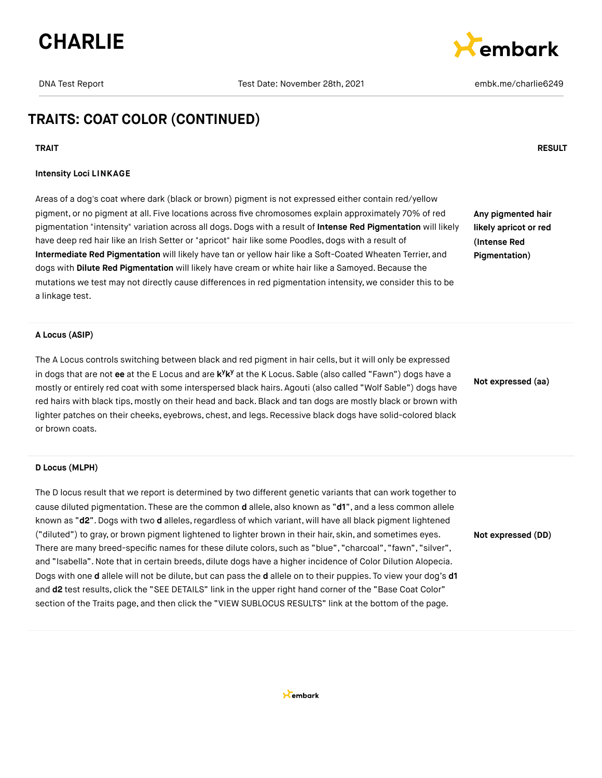



## **TRAITS: COAT COLOR (CONTINUED)**

#### **TRAIT RESULT**

#### **Intensity Loci LINKAGE**

Areas of a dog's coat where dark (black or brown) pigment is not expressed either contain red/yellow pigment, or no pigment at all. Five locations across five chromosomes explain approximately 70% of red pigmentation "intensity" variation across all dogs. Dogs with a result of **Intense Red Pigmentation** will likely have deep red hair like an Irish Setter or "apricot" hair like some Poodles, dogs with a result of **Intermediate Red Pigmentation** will likely have tan or yellow hair like a Soft-Coated Wheaten Terrier, and dogs with **Dilute Red Pigmentation** will likely have cream or white hair like a Samoyed. Because the mutations we test may not directly cause differences in red pigmentation intensity, we consider this to be a linkage test.

**Any pigmented hair likely apricot or red (Intense Red Pigmentation)**

#### **A Locus (ASIP)**

The A Locus controls switching between black and red pigment in hair cells, but it will only be expressed in dogs that are not ee at the E Locus and are k<sup>y</sup>k<sup>y</sup> at the K Locus. Sable (also called "Fawn") dogs have a mostly or entirely red coat with some interspersed black hairs. Agouti (also called "Wolf Sable") dogs have red hairs with black tips, mostly on their head and back.Black and tan dogs are mostly black or brown with lighter patches on their cheeks, eyebrows, chest, and legs. Recessive black dogs have solid-colored black or brown coats.

#### **D Locus (MLPH)**

The D locus result that we report is determined by two different genetic variants that can work together to cause diluted pigmentation. These are the common **d** allele, also known as "**d1**", and a less common allele known as "d2". Dogs with two d alleles, regardless of which variant, will have all black pigment lightened ("diluted") to gray, or brown pigment lightened to lighter brown in their hair, skin, and sometimes eyes. There are many breed-specific names for these dilute colors, such as "blue", "charcoal", "fawn", "silver", and "Isabella".Note that in certain breeds, dilute dogs have a higher incidence of Color Dilution Alopecia. Dogs with one **d** allele will not be dilute, but can pass the **d** allele on to their puppies. To view your dog's **d1** and **d2** test results, click the "SEE DETAILS" link in the upper right hand corner of the "Base Coat Color" section of the Traits page, and then click the "VIEW SUBLOCUS RESULTS" link at the bottom of the page.

**Not expressed (aa)**

**Not expressed (DD)**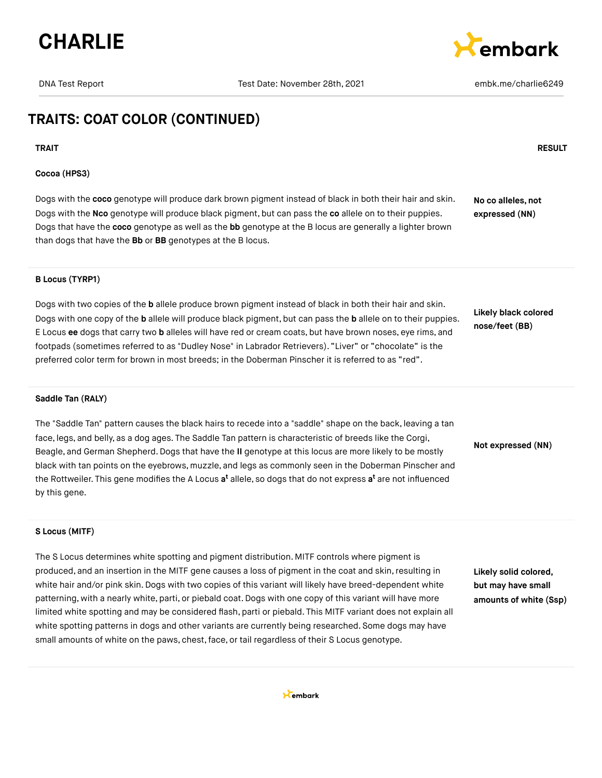



## **TRAITS: COAT COLOR (CONTINUED)**

**TRAIT RESULT**

#### **Cocoa (HPS3)**

Dogs with the **coco** genotype will produce dark brown pigment instead of black in both their hair and skin. Dogs with the **Nco** genotype will produce black pigment, but can pass the **co** allele on to their puppies. Dogs that have the **coco** genotype as well as the **bb** genotype at the B locus are generally a lighter brown than dogs that have the **Bb** or **BB** genotypes at the B locus. **No co alleles, not expressed (NN)**

#### **B Locus (TYRP1)**

Dogs with two copies of the **b** allele produce brown pigment instead of black in both their hair and skin. Dogs with one copy of the **b** allele will produce black pigment, but can pass the **b** allele on to their puppies. E Locus **ee** dogs that carry two **b** alleles will have red or cream coats, but have brown noses, eye rims, and footpads (sometimes referred to as "Dudley Nose" in Labrador Retrievers). "Liver" or "chocolate" is the preferred color term for brown in most breeds; in the Doberman Pinscher it is referred to as "red".

**Likely black colored nose/feet (BB)**

#### **Saddle Tan (RALY)**

The "Saddle Tan" pattern causes the black hairs to recede into a "saddle" shape on the back, leaving a tan face, legs, and belly, as a dog ages. The Saddle Tan pattern is characteristic of breeds like the Corgi, Beagle, and German Shepherd.Dogs that have the **II** genotype at this locus are more likely to be mostly black with tan points on the eyebrows, muzzle, and legs as commonly seen in the Doberman Pinscher and the Rottweiler. This gene modifies the A Locus **a<sup>t</sup>** allele, so dogs that do not express **a<sup>t</sup>** are not influenced by this gene.

**Not expressed (NN)**

#### **S Locus (MITF)**

The S Locus determines white spotting and pigment distribution. MITF controls where pigment is produced, and an insertion in the MITF gene causes a loss of pigment in the coat and skin, resulting in white hair and/or pink skin. Dogs with two copies of this variant will likely have breed-dependent white patterning, with a nearly white, parti, or piebald coat. Dogs with one copy of this variant will have more limited white spotting and may be considered flash, parti or piebald. This MITF variant does not explain all white spotting patterns in dogs and other variants are currently being researched. Some dogs may have small amounts of white on the paws, chest, face, or tail regardless of their S Locus genotype.

**Likely solid colored, but may have small amounts of white (Ssp)**

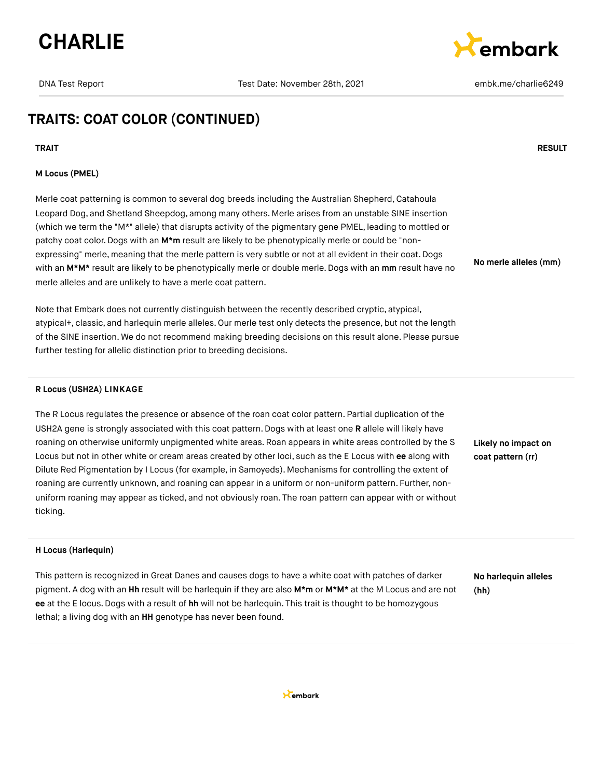

DNA Test Report Test Date: November 28th, 2021 embk.me/charlie6249



**No merle alleles (mm)**

## **TRAITS: COAT COLOR (CONTINUED)**

#### **M Locus (PMEL)**

Merle coat patterning is common to several dog breeds including the Australian Shepherd, Catahoula Leopard Dog, and Shetland Sheepdog, among many others. Merle arises from an unstable SINE insertion (which we term the "M\*" allele) that disrupts activity of the pigmentary gene PMEL, leading to mottled or patchy coat color. Dogs with an M<sup>\*</sup>m result are likely to be phenotypically merle or could be "nonexpressing" merle, meaning that the merle pattern is very subtle or not at all evident in their coat. Dogs with an **M\*M\*** result are likely to be phenotypically merle or double merle. Dogs with an **mm** result have no merle alleles and are unlikely to have a merle coat pattern.

Note that Embark does not currently distinguish between the recently described cryptic, atypical, atypical+, classic, and harlequin merle alleles. Our merle test only detects the presence, but not the length of the SINE insertion. We do not recommend making breeding decisions on this result alone. Please pursue further testing for allelic distinction prior to breeding decisions.

#### **R Locus (USH2A) LINKAGE**

The R Locus regulates the presence or absence of the roan coat color pattern. Partial duplication of the USH2A gene is strongly associated with this coat pattern. Dogs with at least one **R** allele will likely have roaning on otherwise uniformly unpigmented white areas. Roan appears in white areas controlled by the S Locus but not in other white or cream areas created by other loci, such as the E Locus with **ee** along with Dilute Red Pigmentation by I Locus (for example, in Samoyeds). Mechanisms for controlling the extent of roaning are currently unknown, and roaning can appear in a uniform or non-uniform pattern. Further, nonuniform roaning may appear as ticked, and not obviously roan. The roan pattern can appear with or without ticking.

**Likely no impact on coat pattern (rr)**

#### **H Locus (Harlequin)**

This pattern is recognized in Great Danes and causes dogs to have a white coat with patches of darker pigment. A dog with an **Hh** result will be harlequin if they are also **M\*m** or **M\*M\*** at the M Locus and are not **ee** at the E locus.Dogs with a result of **hh** will not be harlequin. This trait is thought to be homozygous lethal; a living dog with an **HH** genotype has never been found.

**No harlequin alleles (hh)**



#### **TRAIT RESULT**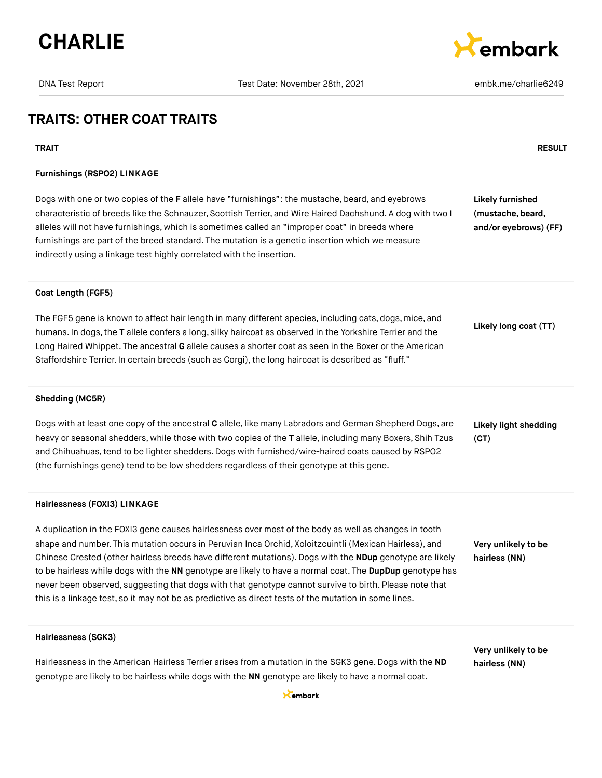



## **TRAITS: OTHER COAT TRAITS**

#### **Furnishings (RSPO2) LINKAGE**

Dogs with one or two copies of the **F** allele have "furnishings": the mustache, beard, and eyebrows characteristic of breeds like the Schnauzer, Scottish Terrier, and Wire Haired Dachshund. A dog with two **I** alleles will not have furnishings, which is sometimes called an "improper coat" in breeds where furnishings are part of the breed standard. The mutation is a genetic insertion which we measure indirectly using a linkage test highly correlated with the insertion. **Likely furnished (mustache, beard, and/or eyebrows) (FF)**

#### **Coat Length (FGF5)**

The FGF5 gene is known to affect hair length in many different species, including cats, dogs, mice, and humans. In dogs,the **T** allele confers a long, silky haircoat as observed in the Yorkshire Terrier and the Long Haired Whippet. The ancestral **G** allele causes a shorter coat as seen in the Boxer or the American Staffordshire Terrier. In certain breeds (such as Corgi), the long haircoat is described as "fluff." **Likely long coat (TT)**

#### **Shedding (MC5R)**

Dogs with at least one copy of the ancestral **C** allele, like many Labradors and German Shepherd Dogs, are heavy or seasonal shedders, while those with two copies of the **T** allele, including many Boxers, Shih Tzus and Chihuahuas,tend to be lighter shedders.Dogs with furnished/wire-haired coats caused by RSPO2 (the furnishings gene) tend to be low shedders regardless of their genotype at this gene. **Likely light shedding (CT)**

#### **Hairlessness (FOXI3) LINKAGE**

A duplication in the FOXI3 gene causes hairlessness over most of the body as well as changes in tooth shape and number. This mutation occurs in Peruvian Inca Orchid, Xoloitzcuintli (Mexican Hairless), and Chinese Crested (other hairless breeds have different mutations). Dogs with the **NDup** genotype are likely to be hairless while dogs with the **NN** genotype are likely to have a normal coat. The **DupDup** genotype has never been observed, suggesting that dogs with that genotype cannot survive to birth. Please note that this is a linkage test, so it may not be as predictive as direct tests of the mutation in some lines.

**Very unlikely to be hairless (NN)**

#### **Hairlessness (SGK3)**

Hairlessness in the American Hairless Terrier arises from a mutation in the SGK3 gene. Dogs with the **ND** genotype are likely to be hairless while dogs with the **NN** genotype are likely to have a normal coat.

**Very unlikely to be hairless (NN)**

#### Kembark

#### **TRAIT RESULT**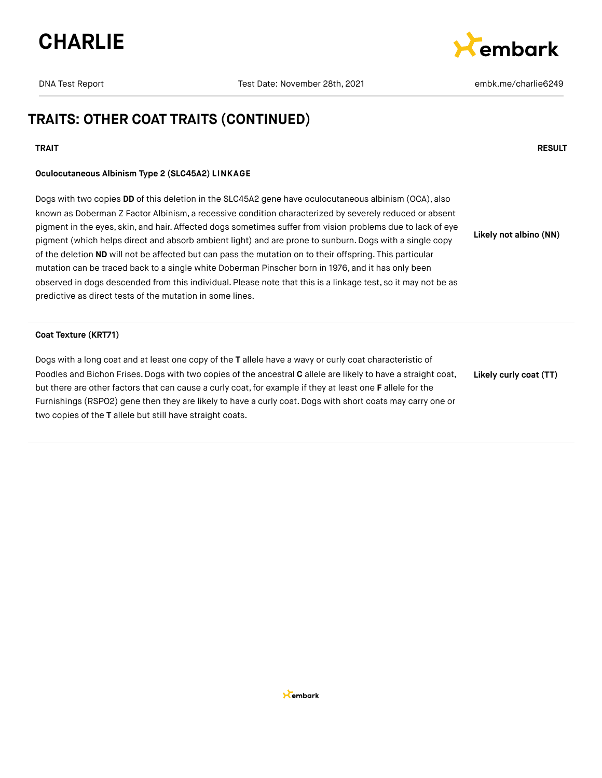



## **TRAITS: OTHER COAT TRAITS (CONTINUED)**

#### **TRAIT RESULT**

## **Oculocutaneous Albinism Type 2 (SLC45A2) LINKAGE**

Dogs with two copies **DD** of this deletion in the SLC45A2 gene have oculocutaneous albinism (OCA), also known as Doberman Z Factor Albinism, a recessive condition characterized by severely reduced or absent pigment in the eyes, skin, and hair. Affected dogs sometimes suffer from vision problems due to lack of eye pigment (which helps direct and absorb ambient light) and are prone to sunburn. Dogs with a single copy of the deletion **ND** will not be affected but can pass the mutation on to their offspring. This particular mutation can be traced back to a single white Doberman Pinscher born in 1976, and it has only been observed in dogs descended from this individual. Please note that this is a linkage test, so it may not be as predictive as direct tests of the mutation in some lines. **Likely not albino (NN)**

#### **Coat Texture (KRT71)**

Dogs with a long coat and at least one copy of the **T** allele have a wavy or curly coat characteristic of Poodles and Bichon Frises. Dogs with two copies of the ancestral **C** allele are likely to have a straight coat, but there are other factors that can cause a curly coat,for example if they at least one **F** allele for the Furnishings (RSPO2) gene then they are likely to have a curly coat. Dogs with short coats may carry one or two copies of the **T** allele but still have straight coats. **Likely curly coat (TT)**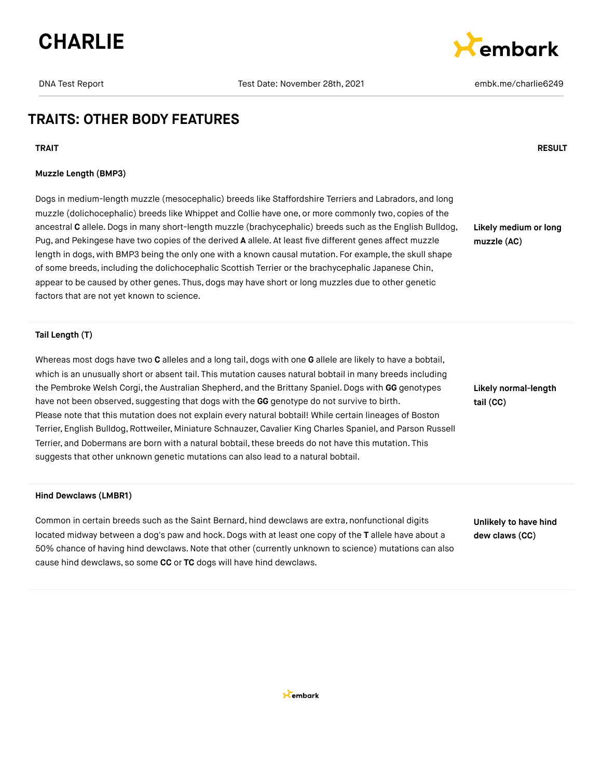



## **TRAITS: OTHER BODY FEATURES**

**TRAIT RESULT**

#### **Muzzle Length (BMP3)**

Dogs in medium-length muzzle (mesocephalic) breeds like Staffordshire Terriers and Labradors, and long muzzle (dolichocephalic) breeds like Whippet and Collie have one, or more commonly two, copies of the ancestral **C** allele.Dogs in many short-length muzzle (brachycephalic) breeds such as the English Bulldog, Pug, and Pekingese have two copies of the derived **A** allele. At least five different genes affect muzzle length in dogs, with BMP3 being the only one with a known causal mutation. For example, the skull shape of some breeds, including the dolichocephalic Scottish Terrier or the brachycephalic Japanese Chin, appear to be caused by other genes. Thus, dogs may have short or long muzzles due to other genetic factors that are not yet known to science.

**Likely medium or long muzzle (AC)**

#### **Tail Length (T)**

Whereas most dogs have two **C** alleles and a long tail, dogs with one **G** allele are likely to have a bobtail, which is an unusually short or absent tail. This mutation causes natural bobtail in many breeds including the Pembroke Welsh Corgi, the Australian Shepherd, and the Brittany Spaniel. Dogs with GG genotypes have not been observed, suggesting that dogs with the **GG** genotype do not survive to birth. Please note that this mutation does not explain every natural bobtail! While certain lineages of Boston Terrier, English Bulldog,Rottweiler, Miniature Schnauzer, Cavalier King Charles Spaniel, and Parson Russell Terrier, and Dobermans are born with a natural bobtail, these breeds do not have this mutation. This suggests that other unknown genetic mutations can also lead to a natural bobtail.

#### **Hind Dewclaws (LMBR1)**

Common in certain breeds such as the Saint Bernard, hind dewclaws are extra, nonfunctional digits located midway between a dog's paw and hock. Dogs with at least one copy of the **T** allele have about a 50% chance of having hind dewclaws.Note that other (currently unknown to science) mutations can also cause hind dewclaws, so some **CC** or **TC** dogs will have hind dewclaws.

**Likely normal-length tail (CC)**

**Unlikely to have hind dew claws (CC)**

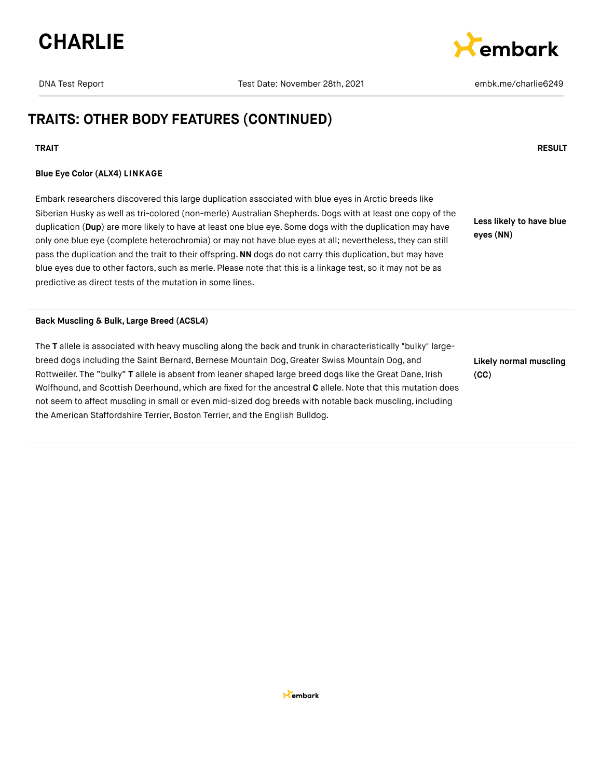



## **TRAITS: OTHER BODY FEATURES (CONTINUED)**

#### **TRAIT RESULT**

#### **Blue Eye Color (ALX4) LINKAGE**

Embark researchers discovered this large duplication associated with blue eyes in Arctic breeds like Siberian Husky as well as tri-colored (non-merle) Australian Shepherds. Dogs with at least one copy of the duplication (**Dup**) are more likely to have at least one blue eye. Some dogs with the duplication may have only one blue eye (complete heterochromia) or may not have blue eyes at all; nevertheless,they can still pass the duplication and the trait to their offspring.**NN** dogs do not carry this duplication, but may have blue eyes due to other factors, such as merle. Please note that this is a linkage test, so it may not be as predictive as direct tests of the mutation in some lines.

**Less likely to have blue eyes (NN)**

#### **Back Muscling & Bulk, Large Breed (ACSL4)**

The **T** allele is associated with heavy muscling along the back and trunk in characteristically "bulky" largebreed dogs including the Saint Bernard, Bernese Mountain Dog, Greater Swiss Mountain Dog, and Rottweiler. The "bulky" **T** allele is absent from leaner shaped large breed dogs like the Great Dane, Irish Wolfhound, and Scottish Deerhound, which are fixed for the ancestral **C** allele.Note that this mutation does not seem to affect muscling in small or even mid-sized dog breeds with notable back muscling, including the American Staffordshire Terrier, Boston Terrier, and the English Bulldog.

**Likely normal muscling (CC)**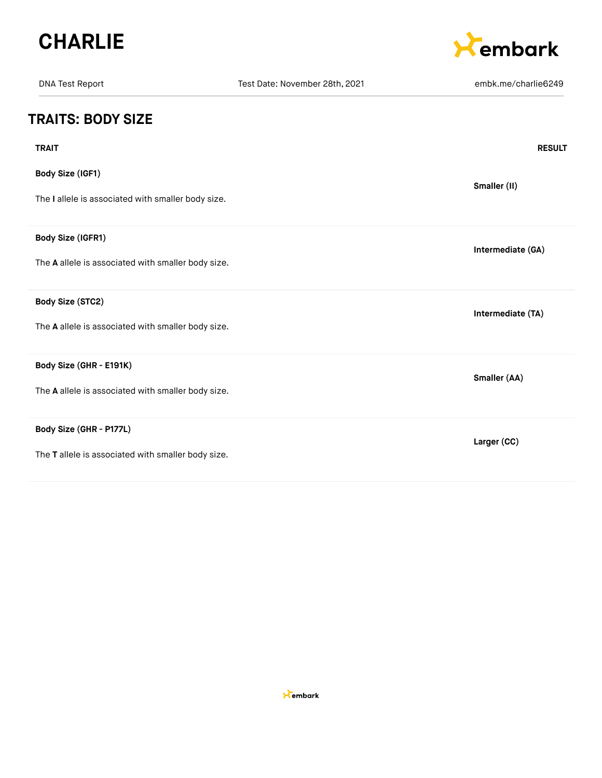



| <b>DNA Test Report</b>                             | Test Date: November 28th, 2021 | embk.me/charlie6249 |
|----------------------------------------------------|--------------------------------|---------------------|
| <b>TRAITS: BODY SIZE</b>                           |                                |                     |
| <b>TRAIT</b>                                       |                                | <b>RESULT</b>       |
| <b>Body Size (IGF1)</b>                            |                                | Smaller (II)        |
| The I allele is associated with smaller body size. |                                |                     |
| <b>Body Size (IGFR1)</b>                           |                                | Intermediate (GA)   |
| The A allele is associated with smaller body size. |                                |                     |
| Body Size (STC2)                                   |                                | Intermediate (TA)   |
| The A allele is associated with smaller body size. |                                |                     |
| Body Size (GHR - E191K)                            |                                | Smaller (AA)        |
| The A allele is associated with smaller body size. |                                |                     |
| Body Size (GHR - P177L)                            |                                | Larger (CC)         |
| The T allele is associated with smaller body size. |                                |                     |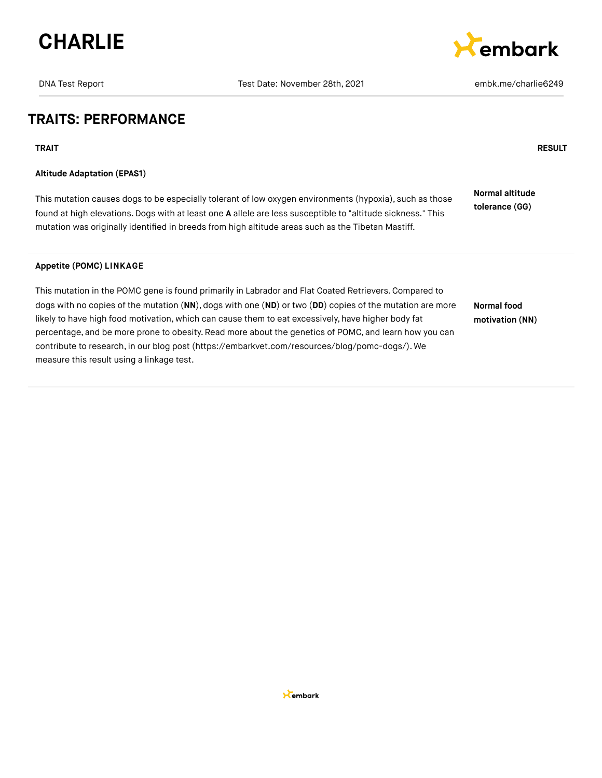



## **TRAITS: PERFORMANCE**

**TRAIT RESULT**

#### **Altitude Adaptation (EPAS1)**

This mutation causes dogs to be especially tolerant of low oxygen environments (hypoxia), such as those found at high elevations.Dogs with at least one **A** allele are less susceptible to "altitude sickness." This mutation was originally identified in breeds from high altitude areas such as the Tibetan Mastiff. **Normal altitude tolerance (GG)**

#### **Appetite (POMC) LINKAGE**

This mutation in the POMC gene is found primarily in Labrador and Flat Coated Retrievers.Compared to dogs with no copies of the mutation (**NN**), dogs with one (**ND**) or two (**DD**) copies of the mutation are more likely to have high food motivation, which can cause them to eat excessively, have higher body fat percentage, and be more prone to obesity. Read more about the genetics of POMC, and learn how you can contribute to research, in our blog post [\(https://embarkvet.com/resources/blog/pomc-dogs/\).](https://embarkvet.com/resources/blog/pomc-dogs/) We measure this result using a linkage test. **Normal food motivation (NN)**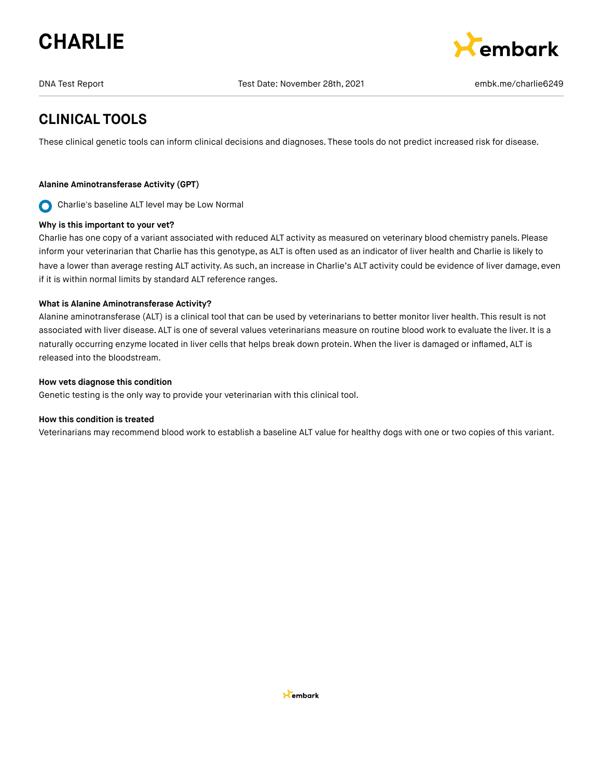# **CHARLIE**



DNA Test Report Test Date: November 28th, 2021 embk.me/charlie6249

## **CLINICAL TOOLS**

These clinical genetic tools can inform clinical decisions and diagnoses. These tools do not predict increased risk for disease.

## **Alanine Aminotransferase Activity (GPT)**

Charlie's baseline ALT level may be Low Normal  $\mathbf O$ 

#### **Why is this important to your vet?**

Charlie has one copy of a variant associated with reduced ALT activity as measured on veterinary blood chemistry panels. Please inform your veterinarian that Charlie has this genotype, as ALT is often used as an indicator of liver health and Charlie is likely to have a lower than average resting ALT activity. As such, an increase in Charlie's ALT activity could be evidence of liver damage, even if it is within normal limits by standard ALT reference ranges.

#### **What is Alanine Aminotransferase Activity?**

Alanine aminotransferase (ALT) is a clinical tool that can be used by veterinarians to better monitor liver health. This result is not associated with liver disease. ALT is one of several values veterinarians measure on routine blood work to evaluate the liver. It is a naturally occurring enzyme located in liver cells that helps break down protein. When the liver is damaged or inflamed, ALT is released into the bloodstream.

#### **How vets diagnose this condition**

Genetic testing is the only way to provide your veterinarian with this clinical tool.

#### **How this condition is treated**

Veterinarians may recommend blood work to establish a baseline ALT value for healthy dogs with one or two copies of this variant.

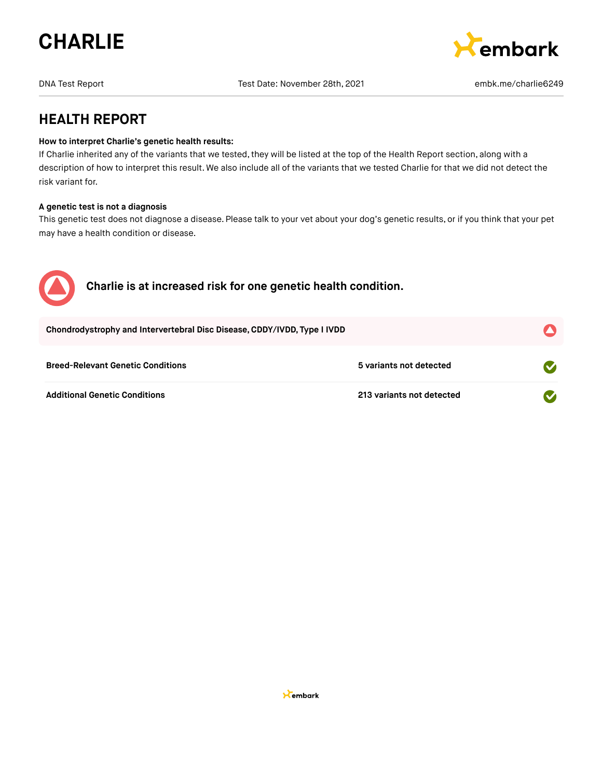

embark

DNA Test Report Test Date: November 28th, 2021 embk.me/charlie6249

**HEALTH REPORT**

#### **How to interpret Charlie's genetic health results:**

If Charlie inherited any of the variants that we tested, they will be listed at the top of the Health Report section, along with a description of how to interpret this result. We also include all of the variants that we tested Charlie for that we did not detect the risk variant for.

#### **A genetic test is not a diagnosis**

This genetic test does not diagnose a disease. Please talk to your vet about your dog's genetic results, or if you think that your pet may have a health condition or disease.

| $\sqrt{2}$ | Charlie is at increased risk for one genetic health condition.           |  |
|------------|--------------------------------------------------------------------------|--|
|            | Chondrodystrophy and Intervertebral Disc Disease, CDDY/IVDD, Type I IVDD |  |
|            |                                                                          |  |

| <b>Breed-Relevant Genetic Conditions</b> | 5 variants not detected   |
|------------------------------------------|---------------------------|
| Additional Genetic Conditions            | 213 variants not detected |

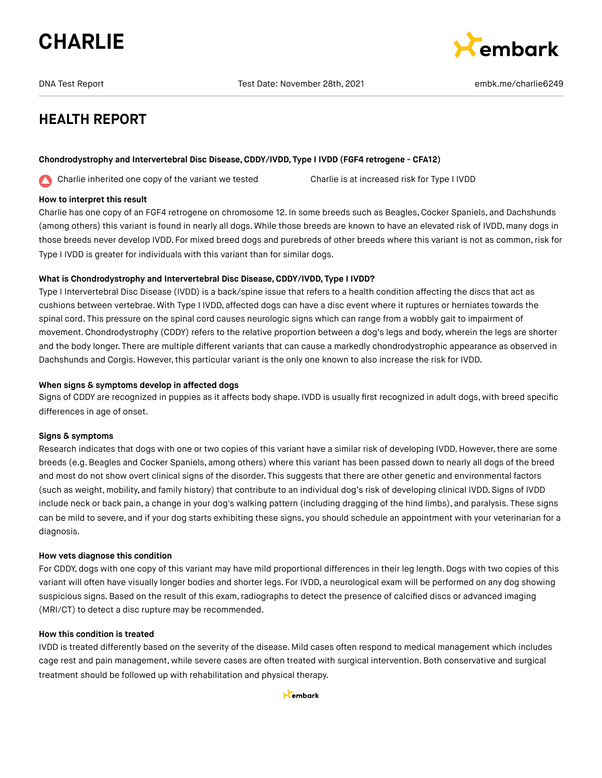

DNA Test Report Test Date: November 28th, 2021 embk.me/charlie6249



## **HEALTH REPORT**

#### **Chondrodystrophy and Intervertebral Disc Disease,CDDY/IVDD, Type I IVDD (FGF4 retrogene - CFA12)**

Charlie inherited one copy of the variant we tested Charlie is at increased risk for Type I IVDD ╱╲

#### **How to interpret this result**

Charlie has one copy of an FGF4 retrogene on chromosome 12. In some breeds such as Beagles, Cocker Spaniels, and Dachshunds (among others) this variant is found in nearly all dogs. While those breeds are known to have an elevated risk of IVDD, many dogs in those breeds never develop IVDD. For mixed breed dogs and purebreds of other breeds where this variant is not as common, risk for Type I IVDD is greater for individuals with this variant than for similar dogs.

#### **What is Chondrodystrophy and Intervertebral Disc Disease,CDDY/IVDD, Type I IVDD?**

Type I Intervertebral Disc Disease (IVDD) is a back/spine issue that refers to a health condition affecting the discs that act as cushions between vertebrae. With Type I IVDD, affected dogs can have a disc event where it ruptures or herniates towards the spinal cord. This pressure on the spinal cord causes neurologic signs which can range from a wobbly gait to impairment of movement.Chondrodystrophy (CDDY) refers to the relative proportion between a dog's legs and body, wherein the legs are shorter and the body longer. There are multiple different variants that can cause a markedly chondrodystrophic appearance as observed in Dachshunds and Corgis.However,this particular variant is the only one known to also increase the risk for IVDD.

#### **When signs & symptoms develop in affected dogs**

Signs of CDDY are recognized in puppies as it affects body shape. IVDD is usually first recognized in adult dogs, with breed specific differences in age of onset.

#### **Signs & symptoms**

Research indicates that dogs with one or two copies of this variant have a similar risk of developing IVDD. However, there are some breeds (e.g.Beagles and Cocker Spaniels, among others) where this variant has been passed down to nearly all dogs of the breed and most do not show overt clinical signs of the disorder. This suggests that there are other genetic and environmental factors (such as weight, mobility, and family history) that contribute to an individual dog's risk of developing clinical IVDD. Signs of IVDD include neck or back pain, a change in your dog's walking pattern (including dragging of the hind limbs), and paralysis. These signs can be mild to severe, and if your dog starts exhibiting these signs, you should schedule an appointment with your veterinarian for a diagnosis.

#### **How vets diagnose this condition**

For CDDY, dogs with one copy of this variant may have mild proportional differences in their leg length. Dogs with two copies of this variant will often have visually longer bodies and shorter legs. For IVDD, a neurological exam will be performed on any dog showing suspicious signs. Based on the result of this exam, radiographs to detect the presence of calcified discs or advanced imaging (MRI/CT) to detect a disc rupture may be recommended.

## **How this condition is treated**

IVDD is treated differently based on the severity of the disease. Mild cases often respond to medical management which includes cage rest and pain management, while severe cases are often treated with surgical intervention. Both conservative and surgical treatment should be followed up with rehabilitation and physical therapy.

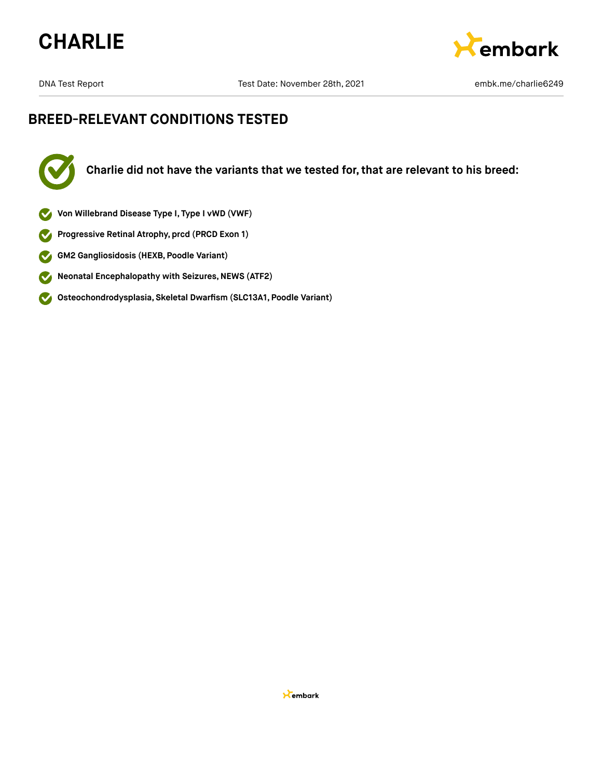



DNA Test Report Test Date: November 28th, 2021 https://www.me/charlie6249

## **BREED-RELEVANT CONDITIONS TESTED**



**Charlie did not have the variants that we tested for, that are relevant to his breed:**

- **Von Willebrand Disease Type I, Type I vWD (VWF)**
- **Progressive Retinal Atrophy, prcd (PRCD Exon 1)**  $\blacktriangledown$
- **GM2 Gangliosidosis (HEXB, Poodle Variant)**  $\bullet$
- **Neonatal Encephalopathy with Seizures, NEWS (ATF2)**  $\bullet$
- **Osteochondrodysplasia, Skeletal Dwarfism (SLC13A1, Poodle Variant)**  $\bullet$

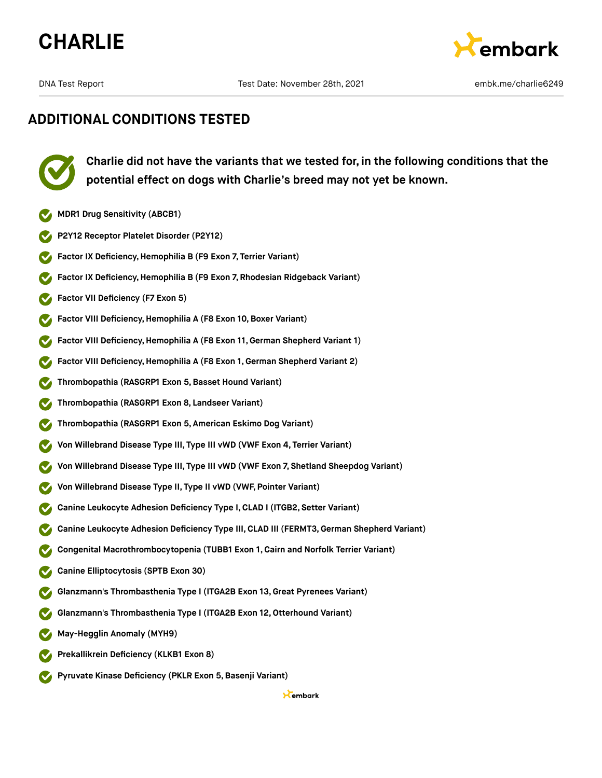





**Charlie did not have the variants that we tested for, in the following conditions that the potential effect on dogs with Charlie's breed may not yet be known.**

- **MDR1 Drug Sensitivity (ABCB1)**
- **P2Y12 Receptor Platelet Disorder (P2Y12)**
- **Factor IX Deficiency, Hemophilia B (F9 Exon 7, Terrier Variant)**
- **Factor IX Deficiency, Hemophilia B (F9 Exon 7, Rhodesian Ridgeback Variant)**
- **Factor VII Deficiency (F7 Exon 5)**
- **Factor VIII Deficiency, Hemophilia A (F8 Exon 10, Boxer Variant)**
- **Factor VIII Deficiency,Hemophilia A (F8 Exon 11,German Shepherd Variant 1)**
- **Factor VIII Deficiency,Hemophilia A (F8 Exon 1, German Shepherd Variant 2)**
- **Thrombopathia (RASGRP1 Exon 5,Basset Hound Variant)**
- **Thrombopathia (RASGRP1 Exon 8, Landseer Variant)**
- **Thrombopathia (RASGRP1 Exon 5, American Eskimo Dog Variant)**
- **Von Willebrand Disease Type III, Type III vWD (VWF Exon 4, Terrier Variant)**
- **Von Willebrand Disease Type III, Type III vWD (VWF Exon 7, Shetland Sheepdog Variant)**
- **Von Willebrand Disease Type II, Type II vWD (VWF, Pointer Variant)**
- **Canine Leukocyte Adhesion Deficiency Type I,CLAD I (ITGB2, Setter Variant)**
- **Canine Leukocyte Adhesion Deficiency Type III, CLAD III (FERMT3,German Shepherd Variant)**
- **Congenital Macrothrombocytopenia (TUBB1 Exon 1, Cairn and Norfolk Terrier Variant)**
- **Canine Elliptocytosis (SPTB Exon 30)**
- **Glanzmann's Thrombasthenia Type I (ITGA2B Exon 13,Great Pyrenees Variant)**
- **Glanzmann's Thrombasthenia Type I (ITGA2B Exon 12,Otterhound Variant)**
- **May-Hegglin Anomaly (MYH9)**
- **Prekallikrein Deficiency (KLKB1 Exon 8)**
- **Pyruvate Kinase Deficiency (PKLR Exon 5,Basenji Variant)**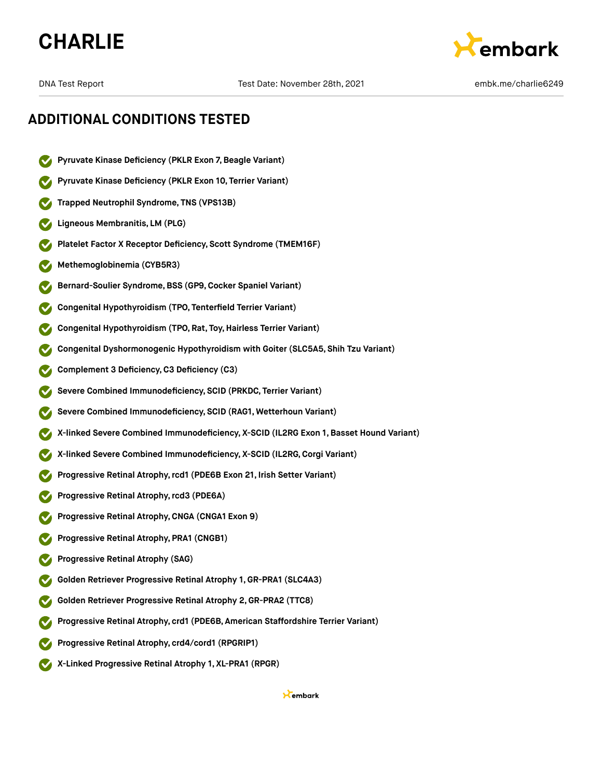



- **Pyruvate Kinase Deficiency (PKLR Exon 7,Beagle Variant)**
- **Pyruvate Kinase Deficiency (PKLR Exon 10, Terrier Variant)**
- **Trapped Neutrophil Syndrome, TNS (VPS13B)**
- **Ligneous Membranitis, LM (PLG)**
- **Platelet Factor X Receptor Deficiency, Scott Syndrome (TMEM16F)**
- **Methemoglobinemia (CYB5R3)**
- **Bernard-Soulier Syndrome,BSS (GP9,Cocker Spaniel Variant)**
- **Congenital Hypothyroidism (TPO, Tenterfield Terrier Variant)**
- **Congenital Hypothyroidism (TPO, Rat, Toy,Hairless Terrier Variant)**
- **Congenital Dyshormonogenic Hypothyroidism with Goiter (SLC5A5, Shih Tzu Variant)**
- **Complement 3 Deficiency,C3 Deficiency (C3)**
- **Severe Combined Immunodeficiency, SCID (PRKDC, Terrier Variant)**
- **Severe Combined Immunodeficiency, SCID (RAG1, Wetterhoun Variant)**
- **X-linked Severe Combined Immunodeficiency, X-SCID (IL2RG Exon 1, Basset Hound Variant)**
- **X-linked Severe Combined Immunodeficiency, X-SCID (IL2RG,Corgi Variant)**
- **Progressive Retinal Atrophy,rcd1 (PDE6B Exon 21, Irish Setter Variant)**
- **Progressive Retinal Atrophy,rcd3 (PDE6A)**
- **Progressive Retinal Atrophy,CNGA (CNGA1 Exon 9)**
- **Progressive Retinal Atrophy, PRA1 (CNGB1)**
- **Progressive Retinal Atrophy (SAG)**
- **Golden Retriever Progressive Retinal Atrophy 1, GR-PRA1 (SLC4A3)**
- **Golden Retriever Progressive Retinal Atrophy 2,GR-PRA2 (TTC8)**
- **Progressive Retinal Atrophy, crd1 (PDE6B, American Staffordshire Terrier Variant)**
- **Progressive Retinal Atrophy, crd4/cord1 (RPGRIP1)**
- **X-Linked Progressive Retinal Atrophy 1, XL-PRA1 (RPGR)**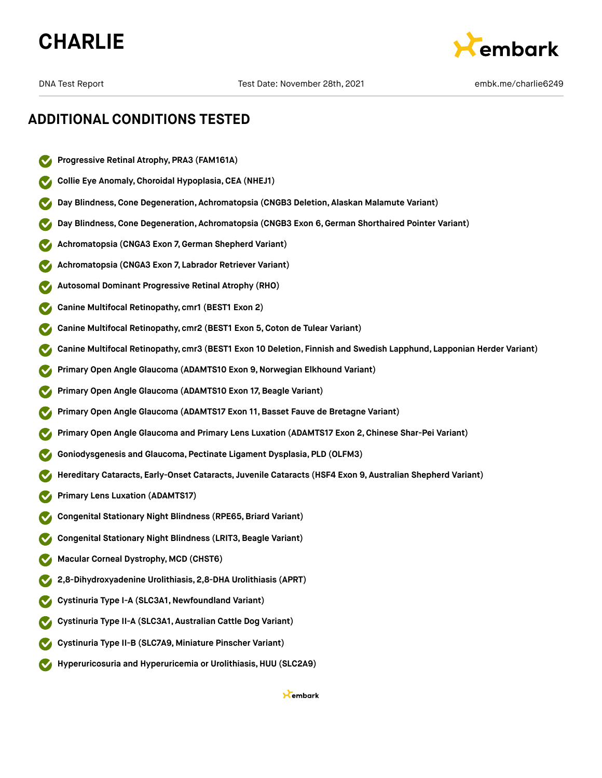



- **Progressive Retinal Atrophy, PRA3 (FAM161A)**
- **Collie Eye Anomaly,Choroidal Hypoplasia,CEA (NHEJ1)**
- **Day Blindness,Cone Degeneration, Achromatopsia (CNGB3 Deletion, Alaskan Malamute Variant)**
- **Day Blindness,Cone Degeneration, Achromatopsia (CNGB3 Exon 6,German Shorthaired Pointer Variant)**
- **Achromatopsia (CNGA3 Exon 7,German Shepherd Variant)**
- **Achromatopsia (CNGA3 Exon 7, Labrador Retriever Variant)**
- **Autosomal Dominant Progressive Retinal Atrophy (RHO)**
- **Canine Multifocal Retinopathy, cmr1 (BEST1 Exon 2)**
- **Canine Multifocal Retinopathy, cmr2 (BEST1 Exon 5,Coton de Tulear Variant)**
- **Canine Multifocal Retinopathy, cmr3 (BEST1 Exon 10 Deletion, Finnish and Swedish Lapphund, Lapponian Herder Variant)**
- **Primary Open Angle Glaucoma (ADAMTS10 Exon 9,Norwegian Elkhound Variant)**
- **Primary Open Angle Glaucoma (ADAMTS10 Exon 17, Beagle Variant)**
- **Primary Open Angle Glaucoma (ADAMTS17 Exon 11,Basset Fauve de Bretagne Variant)**
- **Primary Open Angle Glaucoma and Primary Lens Luxation (ADAMTS17 Exon 2,Chinese Shar-Pei Variant)**
- **Goniodysgenesis and Glaucoma, Pectinate Ligament Dysplasia, PLD (OLFM3)**
- **Hereditary Cataracts, Early-Onset Cataracts, Juvenile Cataracts (HSF4 Exon 9, Australian Shepherd Variant)**
- **Primary Lens Luxation (ADAMTS17)**
- **Congenital Stationary Night Blindness (RPE65,Briard Variant)**
- **Congenital Stationary Night Blindness (LRIT3,Beagle Variant)**
- **Macular Corneal Dystrophy, MCD (CHST6)**
- **2,8-Dihydroxyadenine Urolithiasis, 2,8-DHA Urolithiasis (APRT)**
- **Cystinuria Type I-A (SLC3A1,Newfoundland Variant)**
- **Cystinuria Type II-A (SLC3A1, Australian Cattle Dog Variant)**
- **Cystinuria Type II-B (SLC7A9, Miniature Pinscher Variant)**
- **Hyperuricosuria and Hyperuricemia or Urolithiasis, HUU (SLC2A9)**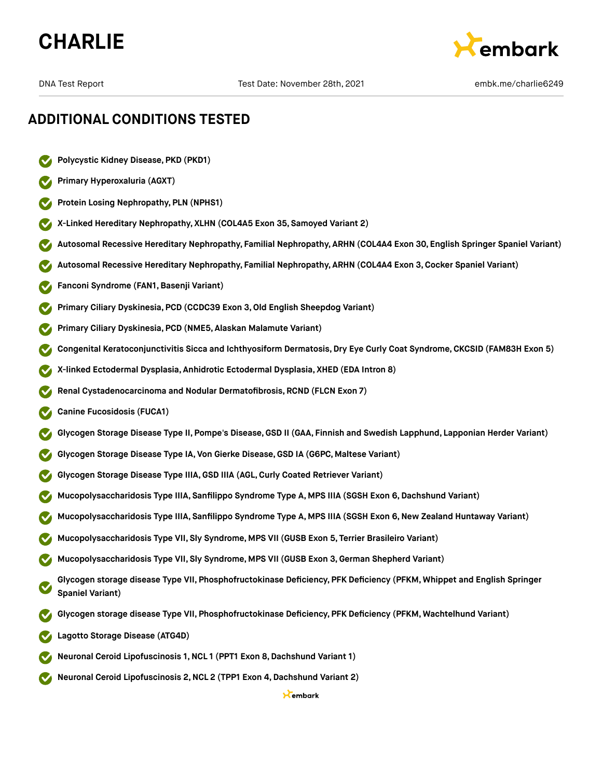



- **Polycystic Kidney Disease, PKD (PKD1)**
- **Primary Hyperoxaluria (AGXT)**
- **Protein Losing Nephropathy, PLN (NPHS1)**
- **X-Linked Hereditary Nephropathy, XLHN (COL4A5 Exon 35, Samoyed Variant 2)**
- **Autosomal Recessive Hereditary Nephropathy, Familial Nephropathy, ARHN (COL4A4 Exon 30, English Springer Spaniel Variant)**
- **Autosomal Recessive Hereditary Nephropathy, Familial Nephropathy, ARHN (COL4A4 Exon 3,Cocker Spaniel Variant)**
- **Fanconi Syndrome (FAN1,Basenji Variant)**
- **Primary Ciliary Dyskinesia, PCD (CCDC39 Exon 3,Old English Sheepdog Variant)**
- **Primary Ciliary Dyskinesia, PCD (NME5, Alaskan Malamute Variant)**
- **Congenital Keratoconjunctivitis Sicca and Ichthyosiform Dermatosis, Dry Eye Curly Coat Syndrome, CKCSID (FAM83H Exon 5)**
- **X-linked Ectodermal Dysplasia, Anhidrotic Ectodermal Dysplasia, XHED (EDA Intron 8)**
- **Renal Cystadenocarcinoma and Nodular Dermatofibrosis, RCND (FLCN Exon 7)**
- **Canine Fucosidosis (FUCA1)**
- **Glycogen Storage Disease Type II, Pompe's Disease,GSD II (GAA, Finnish and Swedish Lapphund, Lapponian Herder Variant)**
- **Glycogen Storage Disease Type IA, Von Gierke Disease,GSD IA (G6PC, Maltese Variant)**
- **Glycogen Storage Disease Type IIIA,GSD IIIA (AGL,Curly Coated Retriever Variant)**
- **Mucopolysaccharidosis Type IIIA, Sanfilippo Syndrome Type A, MPS IIIA (SGSH Exon 6,Dachshund Variant)**
- **Mucopolysaccharidosis Type IIIA, Sanfilippo Syndrome Type A, MPS IIIA (SGSH Exon 6,New Zealand Huntaway Variant)**
- **Mucopolysaccharidosis Type VII, Sly Syndrome, MPS VII (GUSB Exon 5, Terrier Brasileiro Variant)**
- **Mucopolysaccharidosis Type VII, Sly Syndrome, MPS VII (GUSB Exon 3,German Shepherd Variant)**
- **Glycogen storage disease Type VII, Phosphofructokinase Deficiency, PFK Deficiency (PFKM, Whippet and English Springer Spaniel Variant)**
- **Glycogen storage disease Type VII, Phosphofructokinase Deficiency, PFK Deficiency (PFKM, Wachtelhund Variant)**
- **Lagotto Storage Disease (ATG4D)**
- **Neuronal Ceroid Lipofuscinosis 1,NCL 1 (PPT1 Exon 8,Dachshund Variant 1)**
- **Neuronal Ceroid Lipofuscinosis 2,NCL 2 (TPP1 Exon 4,Dachshund Variant 2)**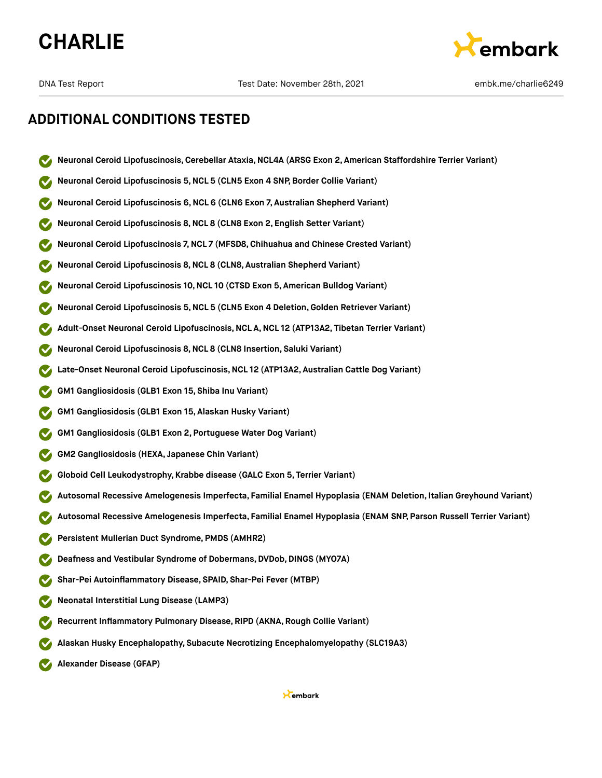



- **Neuronal Ceroid Lipofuscinosis,Cerebellar Ataxia,NCL4A (ARSG Exon 2, American Staffordshire Terrier Variant)**
- **Neuronal Ceroid Lipofuscinosis 5,NCL 5 (CLN5 Exon 4 SNP, Border Collie Variant)**
- **Neuronal Ceroid Lipofuscinosis 6,NCL 6 (CLN6 Exon 7, Australian Shepherd Variant)**
- **Neuronal Ceroid Lipofuscinosis 8,NCL 8 (CLN8 Exon 2, English Setter Variant)**
- **Neuronal Ceroid Lipofuscinosis 7,NCL 7 (MFSD8,Chihuahua and Chinese Crested Variant)**
- **Neuronal Ceroid Lipofuscinosis 8,NCL 8 (CLN8, Australian Shepherd Variant)**
- **Neuronal Ceroid Lipofuscinosis 10,NCL 10 (CTSD Exon 5, American Bulldog Variant)**
- **Neuronal Ceroid Lipofuscinosis 5,NCL 5 (CLN5 Exon 4 Deletion,Golden Retriever Variant)**
- **Adult-Onset Neuronal Ceroid Lipofuscinosis,NCL A,NCL 12 (ATP13A2, Tibetan Terrier Variant)**
- **Neuronal Ceroid Lipofuscinosis 8,NCL 8 (CLN8 Insertion, Saluki Variant)**
- **Late-Onset Neuronal Ceroid Lipofuscinosis,NCL 12 (ATP13A2, Australian Cattle Dog Variant)**
- **GM1 Gangliosidosis (GLB1 Exon 15, Shiba Inu Variant)**
- **GM1 Gangliosidosis (GLB1 Exon 15, Alaskan Husky Variant)**
- **GM1 Gangliosidosis (GLB1 Exon 2, Portuguese Water Dog Variant)**
- **GM2 Gangliosidosis (HEXA, Japanese Chin Variant)**
- **Globoid Cell Leukodystrophy, Krabbe disease (GALC Exon 5, Terrier Variant)**
- **Autosomal Recessive Amelogenesis Imperfecta, Familial Enamel Hypoplasia (ENAM Deletion, Italian Greyhound Variant)**
- **Autosomal Recessive Amelogenesis Imperfecta, Familial Enamel Hypoplasia (ENAM SNP, Parson Russell Terrier Variant)**
- **Persistent Mullerian Duct Syndrome, PMDS (AMHR2)**
- **Deafness and Vestibular Syndrome of Dobermans, DVDob,DINGS (MYO7A)**
- **Shar-Pei Autoinflammatory Disease, SPAID, Shar-Pei Fever (MTBP)**
- **Neonatal Interstitial Lung Disease (LAMP3)**
- **Recurrent Inflammatory Pulmonary Disease, RIPD (AKNA, Rough Collie Variant)**
- **Alaskan Husky Encephalopathy, Subacute Necrotizing Encephalomyelopathy (SLC19A3)**
- **Alexander Disease (GFAP)**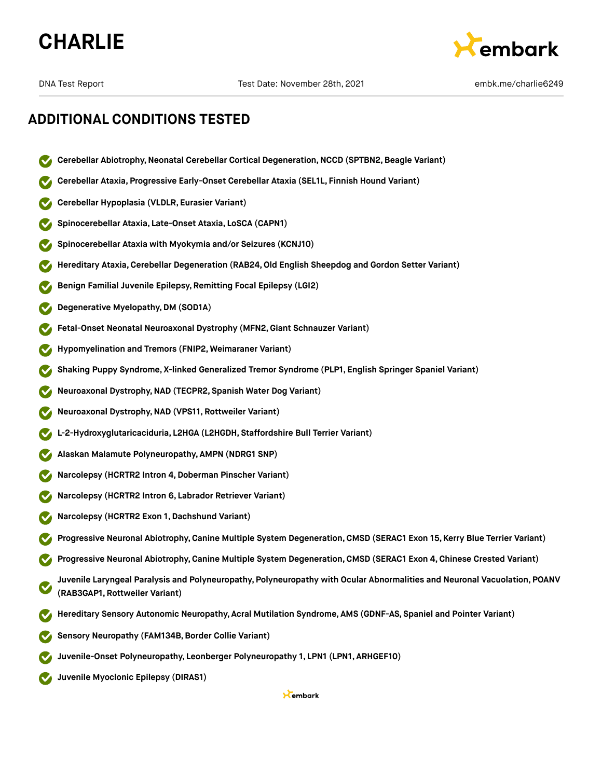



- **Cerebellar Abiotrophy,Neonatal Cerebellar Cortical Degeneration,NCCD (SPTBN2,Beagle Variant)**
- **Cerebellar Ataxia, Progressive Early-Onset Cerebellar Ataxia (SEL1L, Finnish Hound Variant)**
- **Cerebellar Hypoplasia (VLDLR, Eurasier Variant)**
- **Spinocerebellar Ataxia, Late-Onset Ataxia, LoSCA (CAPN1)**
- **Spinocerebellar Ataxia with Myokymia and/or Seizures (KCNJ10)**
- **Hereditary Ataxia,Cerebellar Degeneration (RAB24,Old English Sheepdog and Gordon Setter Variant)**
- **Benign Familial Juvenile Epilepsy, Remitting Focal Epilepsy (LGI2)**
- **Degenerative Myelopathy,DM (SOD1A)**
- **Fetal-Onset Neonatal Neuroaxonal Dystrophy (MFN2,Giant Schnauzer Variant)**
- **Hypomyelination and Tremors (FNIP2, Weimaraner Variant)**
- **Shaking Puppy Syndrome, X-linked Generalized Tremor Syndrome (PLP1, English Springer Spaniel Variant)**
- **Neuroaxonal Dystrophy,NAD (TECPR2, Spanish Water Dog Variant)**
- **Neuroaxonal Dystrophy,NAD (VPS11, Rottweiler Variant)**
- **L-2-Hydroxyglutaricaciduria, L2HGA (L2HGDH, Staffordshire Bull Terrier Variant)**
- **Alaskan Malamute Polyneuropathy, AMPN (NDRG1 SNP)**
- **Narcolepsy (HCRTR2 Intron 4,Doberman Pinscher Variant)**
- **Narcolepsy (HCRTR2 Intron 6, Labrador Retriever Variant)**
- **Narcolepsy (HCRTR2 Exon 1,Dachshund Variant)**
- **Progressive Neuronal Abiotrophy,Canine Multiple System Degeneration,CMSD (SERAC1 Exon 15, Kerry Blue Terrier Variant)**
- **Progressive Neuronal Abiotrophy,Canine Multiple System Degeneration,CMSD (SERAC1 Exon 4, Chinese Crested Variant)**
- **Juvenile Laryngeal Paralysis and Polyneuropathy, Polyneuropathy with Ocular Abnormalities and Neuronal Vacuolation, POANV (RAB3GAP1, Rottweiler Variant)**
- **Hereditary Sensory Autonomic Neuropathy, Acral Mutilation Syndrome, AMS (GDNF-AS, Spaniel and Pointer Variant)**
- **Sensory Neuropathy (FAM134B,Border Collie Variant)**
- **Juvenile-Onset Polyneuropathy, Leonberger Polyneuropathy 1, LPN1 (LPN1, ARHGEF10)**
- **Juvenile Myoclonic Epilepsy (DIRAS1)**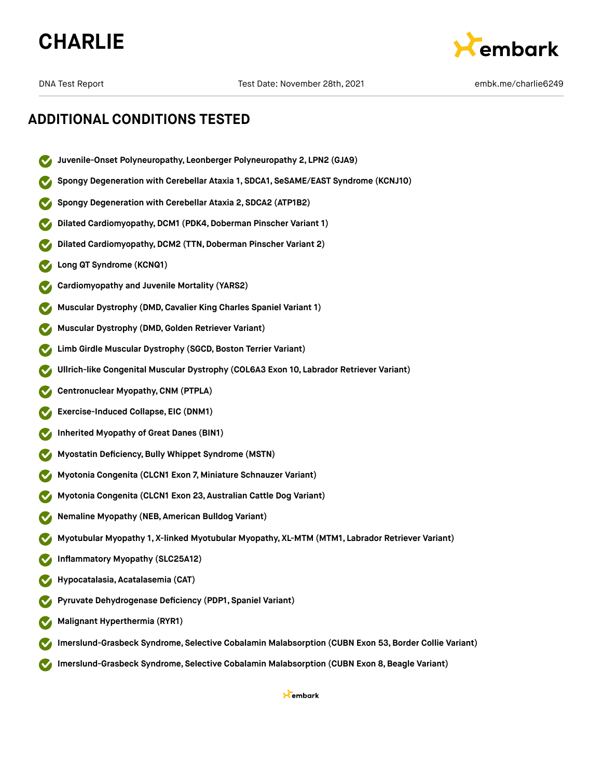



- **Juvenile-Onset Polyneuropathy, Leonberger Polyneuropathy 2, LPN2 (GJA9)**
- **Spongy Degeneration with Cerebellar Ataxia 1, SDCA1, SeSAME/EAST Syndrome (KCNJ10)**
- **Spongy Degeneration with Cerebellar Ataxia 2, SDCA2 (ATP1B2)**
- **Dilated Cardiomyopathy,DCM1 (PDK4,Doberman Pinscher Variant 1)**
- **Dilated Cardiomyopathy, DCM2 (TTN, Doberman Pinscher Variant 2)**
- **Long QT Syndrome (KCNQ1)**
- **Cardiomyopathy and Juvenile Mortality (YARS2)**
- **Muscular Dystrophy (DMD,Cavalier King Charles Spaniel Variant 1)**
- **Muscular Dystrophy (DMD,Golden Retriever Variant)**
- **Limb** Girdle Muscular Dystrophy (SGCD, Boston Terrier Variant)
- **Ullrich-like Congenital Muscular Dystrophy (COL6A3 Exon 10, Labrador Retriever Variant)**
- **Centronuclear Myopathy,CNM (PTPLA)**
- **Exercise-Induced Collapse, EIC (DNM1)**
- **Inherited Myopathy of Great Danes (BIN1)**
- **Myostatin Deficiency,Bully Whippet Syndrome (MSTN)**
- **Myotonia Congenita (CLCN1 Exon 7, Miniature Schnauzer Variant)**
- **Myotonia Congenita (CLCN1 Exon 23, Australian Cattle Dog Variant)**
- **Nemaline Myopathy (NEB, American Bulldog Variant)**
- **Myotubular Myopathy 1, X-linked Myotubular Myopathy, XL-MTM (MTM1, Labrador Retriever Variant)**
- **Inflammatory Myopathy (SLC25A12)**
- **Hypocatalasia, Acatalasemia (CAT)**
- **Pyruvate Dehydrogenase Deficiency (PDP1, Spaniel Variant)**
- **Malignant Hyperthermia (RYR1)**
- **Imerslund-Grasbeck Syndrome, Selective Cobalamin Malabsorption (CUBN Exon 53,Border Collie Variant)**
- **Imerslund-Grasbeck Syndrome, Selective Cobalamin Malabsorption (CUBN Exon 8,Beagle Variant)**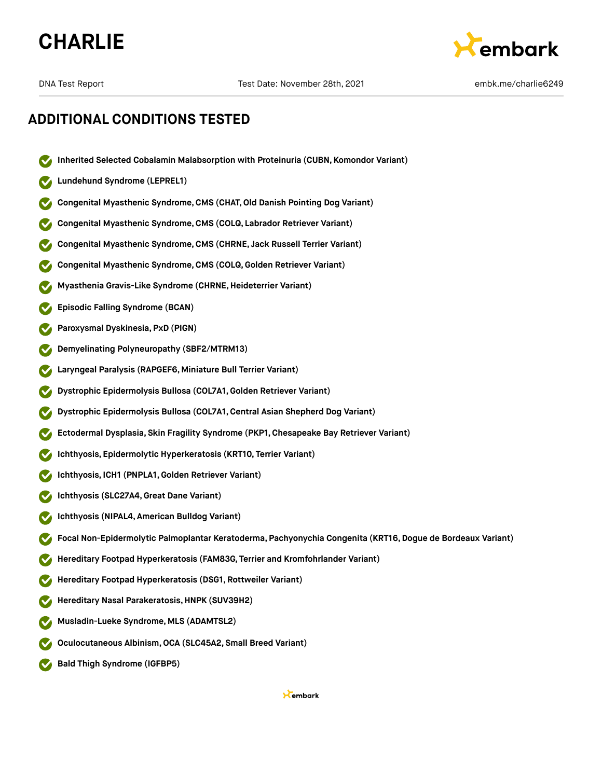



- **Inherited Selected Cobalamin Malabsorption with Proteinuria (CUBN, Komondor Variant)**
- **Lundehund Syndrome (LEPREL1)**
- **Congenital Myasthenic Syndrome,CMS (CHAT,Old Danish Pointing Dog Variant)**
- **Congenital Myasthenic Syndrome,CMS (COLQ, Labrador Retriever Variant)**
- **Congenital Myasthenic Syndrome,CMS (CHRNE, Jack Russell Terrier Variant)**
- **Congenital Myasthenic Syndrome,CMS (COLQ, Golden Retriever Variant)**
- **Myasthenia Gravis-Like Syndrome (CHRNE,Heideterrier Variant)**
- **Episodic Falling Syndrome (BCAN)**
- **Paroxysmal Dyskinesia, PxD (PIGN)**
- **Demyelinating Polyneuropathy (SBF2/MTRM13)**
- **Laryngeal Paralysis (RAPGEF6, Miniature Bull Terrier Variant)**
- **Dystrophic Epidermolysis Bullosa (COL7A1,Golden Retriever Variant)**
- **Dystrophic Epidermolysis Bullosa (COL7A1,Central Asian Shepherd Dog Variant)**
- **Ectodermal Dysplasia, Skin Fragility Syndrome (PKP1, Chesapeake Bay Retriever Variant)**
- **Ichthyosis, Epidermolytic Hyperkeratosis (KRT10, Terrier Variant)**
- **Ichthyosis, ICH1 (PNPLA1,Golden Retriever Variant)**
- **Ichthyosis (SLC27A4,Great Dane Variant)**
- **Ichthyosis (NIPAL4, American Bulldog Variant)**
- **Focal Non-Epidermolytic Palmoplantar Keratoderma, Pachyonychia Congenita (KRT16,Dogue de Bordeaux Variant)**
- **Hereditary Footpad Hyperkeratosis (FAM83G, Terrier and Kromfohrlander Variant)**
- **Hereditary Footpad Hyperkeratosis (DSG1, Rottweiler Variant)**
- **Hereditary Nasal Parakeratosis,HNPK (SUV39H2)**
- **Musladin-Lueke Syndrome, MLS (ADAMTSL2)**
- **Oculocutaneous Albinism,OCA (SLC45A2, Small Breed Variant)**
- **Bald Thigh Syndrome (IGFBP5)**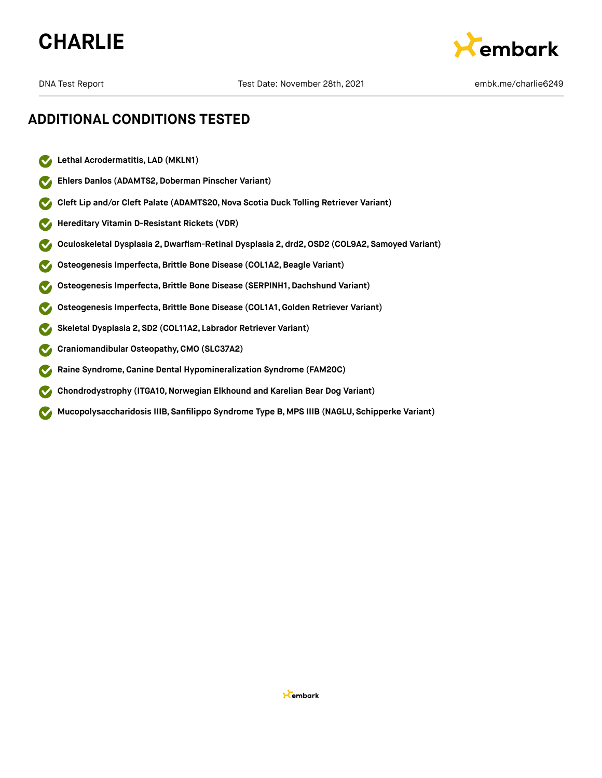



- $\boldsymbol{\triangledown}$ **Lethal Acrodermatitis, LAD (MKLN1)**
- **Ehlers Danlos (ADAMTS2,Doberman Pinscher Variant)**  $\checkmark$
- **Cleft Lip and/or Cleft Palate (ADAMTS20,Nova Scotia Duck Tolling Retriever Variant)**  $\checkmark$
- **Hereditary Vitamin D-Resistant Rickets (VDR)**  $\checkmark$
- **Oculoskeletal Dysplasia 2,Dwarfism-Retinal Dysplasia 2, drd2,OSD2 (COL9A2, Samoyed Variant)**
- **Osteogenesis Imperfecta,Brittle Bone Disease (COL1A2,Beagle Variant)**
- **Osteogenesis Imperfecta,Brittle Bone Disease (SERPINH1, Dachshund Variant)**
- **Osteogenesis Imperfecta,Brittle Bone Disease (COL1A1,Golden Retriever Variant)**
- **Skeletal Dysplasia 2, SD2 (COL11A2, Labrador Retriever Variant)**
- **Craniomandibular Osteopathy,CMO (SLC37A2)**
- **Raine Syndrome,Canine Dental Hypomineralization Syndrome (FAM20C)**
- **Chondrodystrophy** (ITGA10, Norwegian Elkhound and Karelian Bear Dog Variant)  $\checkmark$
- **Mucopolysaccharidosis IIIB, Sanfilippo Syndrome Type B, MPS IIIB (NAGLU, Schipperke Variant)**